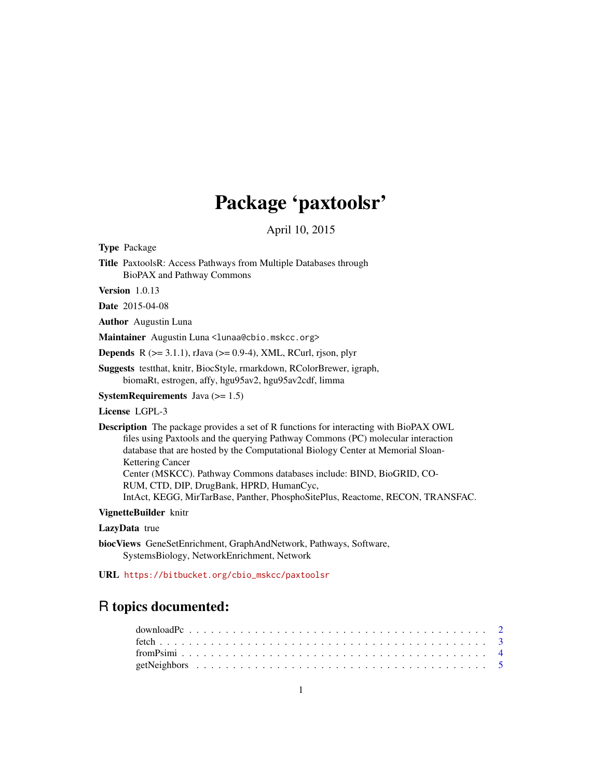## Package 'paxtoolsr'

April 10, 2015

Type Package

Title PaxtoolsR: Access Pathways from Multiple Databases through BioPAX and Pathway Commons

Version 1.0.13

Date 2015-04-08

Author Augustin Luna

Maintainer Augustin Luna <lunaa@cbio.mskcc.org>

**Depends** R  $(>= 3.1.1)$ , rJava  $(>= 0.9-4)$ , XML, RCurl, rison, plyr

Suggests testthat, knitr, BiocStyle, rmarkdown, RColorBrewer, igraph, biomaRt, estrogen, affy, hgu95av2, hgu95av2cdf, limma

**SystemRequirements** Java  $(>= 1.5)$ 

License LGPL-3

Description The package provides a set of R functions for interacting with BioPAX OWL files using Paxtools and the querying Pathway Commons (PC) molecular interaction database that are hosted by the Computational Biology Center at Memorial Sloan-Kettering Cancer Center (MSKCC). Pathway Commons databases include: BIND, BioGRID, CO-RUM, CTD, DIP, DrugBank, HPRD, HumanCyc, IntAct, KEGG, MirTarBase, Panther, PhosphoSitePlus, Reactome, RECON, TRANSFAC.

## VignetteBuilder knitr

#### LazyData true

biocViews GeneSetEnrichment, GraphAndNetwork, Pathways, Software, SystemsBiology, NetworkEnrichment, Network

URL [https://bitbucket.org/cbio\\_mskcc/paxtoolsr](https://bitbucket.org/cbio_mskcc/paxtoolsr)

## R topics documented: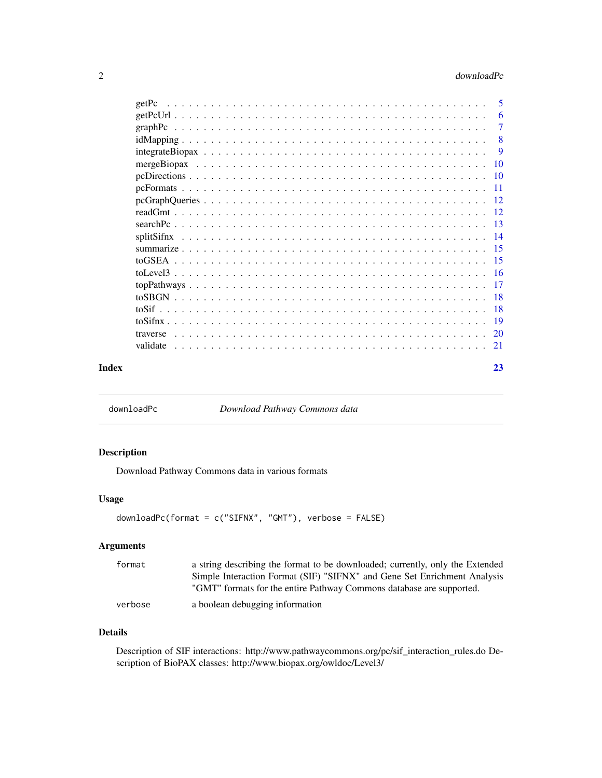## <span id="page-1-0"></span>2 downloadPc

| getPc    | 5               |
|----------|-----------------|
|          | 6               |
|          | 7               |
|          | 8               |
|          | 9               |
|          | -10             |
|          |                 |
|          | $\overline{11}$ |
|          |                 |
|          | - 12            |
|          |                 |
|          |                 |
|          | $-15$           |
|          |                 |
|          |                 |
|          |                 |
|          | - 18            |
|          |                 |
|          | -19             |
| traverse |                 |
| validate | 21              |
|          |                 |

#### **Index** [23](#page-22-0)

<span id="page-1-1"></span>downloadPc *Download Pathway Commons data*

## Description

Download Pathway Commons data in various formats

## Usage

```
downloadPc(format = c("SIFNX", "GMT"), verbose = FALSE)
```
## Arguments

| format  | a string describing the format to be downloaded; currently, only the Extended |
|---------|-------------------------------------------------------------------------------|
|         | Simple Interaction Format (SIF) "SIFNX" and Gene Set Enrichment Analysis      |
|         | "GMT" formats for the entire Pathway Commons database are supported.          |
| verbose | a boolean debugging information                                               |

## Details

Description of SIF interactions: http://www.pathwaycommons.org/pc/sif\_interaction\_rules.do Description of BioPAX classes: http://www.biopax.org/owldoc/Level3/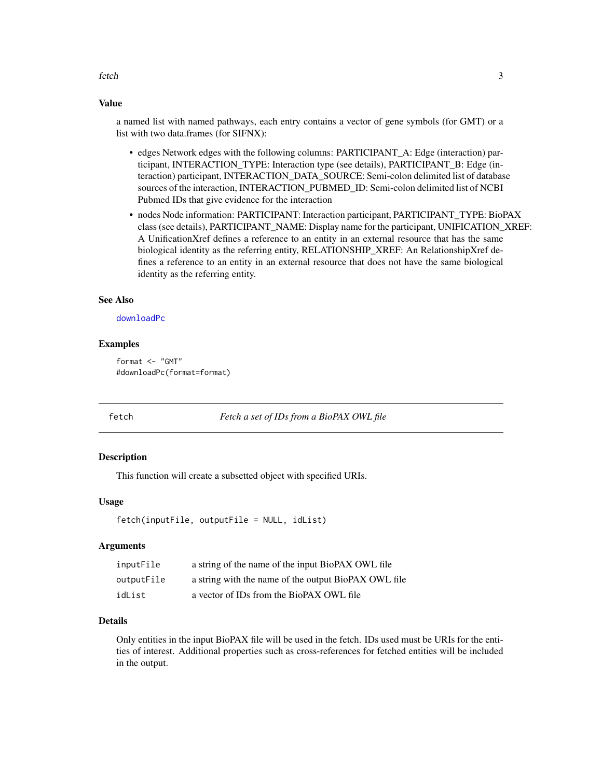<span id="page-2-0"></span>fetch 3

#### Value

a named list with named pathways, each entry contains a vector of gene symbols (for GMT) or a list with two data.frames (for SIFNX):

- edges Network edges with the following columns: PARTICIPANT\_A: Edge (interaction) participant, INTERACTION\_TYPE: Interaction type (see details), PARTICIPANT\_B: Edge (interaction) participant, INTERACTION\_DATA\_SOURCE: Semi-colon delimited list of database sources of the interaction, INTERACTION\_PUBMED\_ID: Semi-colon delimited list of NCBI Pubmed IDs that give evidence for the interaction
- nodes Node information: PARTICIPANT: Interaction participant, PARTICIPANT\_TYPE: BioPAX class (see details), PARTICIPANT\_NAME: Display name for the participant, UNIFICATION\_XREF: A UnificationXref defines a reference to an entity in an external resource that has the same biological identity as the referring entity, RELATIONSHIP\_XREF: An RelationshipXref defines a reference to an entity in an external resource that does not have the same biological identity as the referring entity.

## See Also

[downloadPc](#page-1-1)

#### Examples

format <- "GMT" #downloadPc(format=format)

fetch *Fetch a set of IDs from a BioPAX OWL file*

#### Description

This function will create a subsetted object with specified URIs.

## Usage

```
fetch(inputFile, outputFile = NULL, idList)
```
#### Arguments

| inputFile  | a string of the name of the input BioPAX OWL file    |
|------------|------------------------------------------------------|
| outputFile | a string with the name of the output BioPAX OWL file |
| idList     | a vector of IDs from the BioPAX OWL file             |

## Details

Only entities in the input BioPAX file will be used in the fetch. IDs used must be URIs for the entities of interest. Additional properties such as cross-references for fetched entities will be included in the output.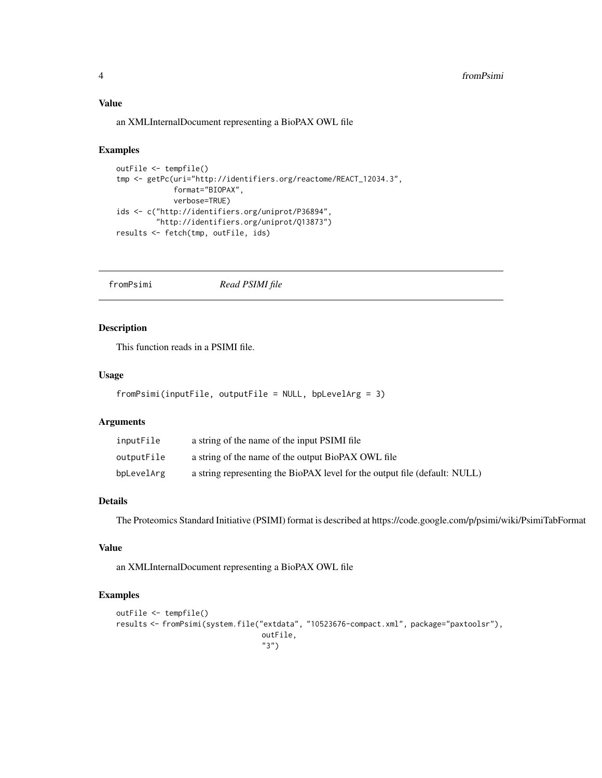## <span id="page-3-0"></span>Value

an XMLInternalDocument representing a BioPAX OWL file

#### Examples

```
outFile <- tempfile()
tmp <- getPc(uri="http://identifiers.org/reactome/REACT_12034.3",
             format="BIOPAX",
             verbose=TRUE)
ids <- c("http://identifiers.org/uniprot/P36894",
         "http://identifiers.org/uniprot/Q13873")
results <- fetch(tmp, outFile, ids)
```
fromPsimi *Read PSIMI file*

## Description

This function reads in a PSIMI file.

## Usage

```
fromPsimi(inputFile, outputFile = NULL, bpLevelArg = 3)
```
## Arguments

| inputFile  | a string of the name of the input PSIMI file                               |
|------------|----------------------------------------------------------------------------|
| outputFile | a string of the name of the output BioPAX OWL file                         |
| bpLevelArg | a string representing the BioPAX level for the output file (default: NULL) |

## Details

The Proteomics Standard Initiative (PSIMI) format is described at https://code.google.com/p/psimi/wiki/PsimiTabFormat

## Value

an XMLInternalDocument representing a BioPAX OWL file

```
outFile <- tempfile()
results <- fromPsimi(system.file("extdata", "10523676-compact.xml", package="paxtoolsr"),
                                 outFile,
                                 "3")
```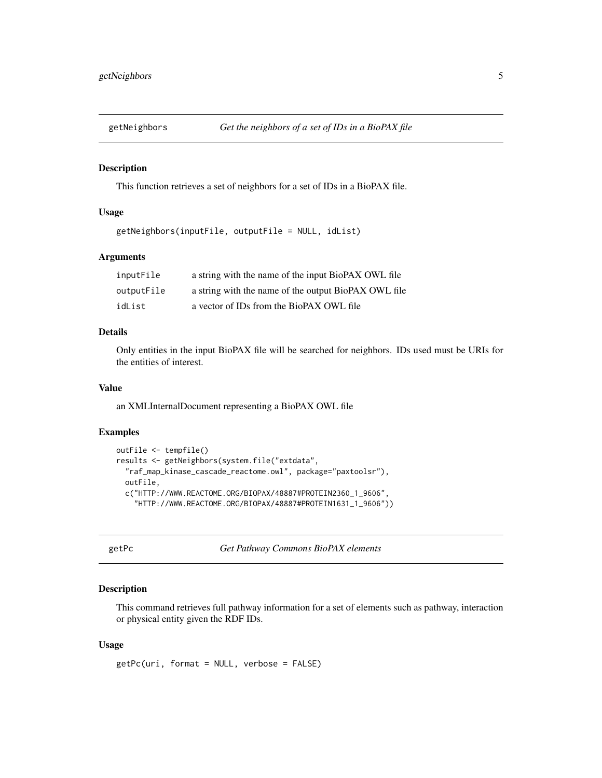<span id="page-4-0"></span>

This function retrieves a set of neighbors for a set of IDs in a BioPAX file.

#### Usage

```
getNeighbors(inputFile, outputFile = NULL, idList)
```
## Arguments

| inputFile  | a string with the name of the input BioPAX OWL file  |
|------------|------------------------------------------------------|
| outputFile | a string with the name of the output BioPAX OWL file |
| idList     | a vector of IDs from the BioPAX OWL file             |

#### Details

Only entities in the input BioPAX file will be searched for neighbors. IDs used must be URIs for the entities of interest.

#### Value

an XMLInternalDocument representing a BioPAX OWL file

## Examples

```
outFile <- tempfile()
results <- getNeighbors(system.file("extdata",
  "raf_map_kinase_cascade_reactome.owl", package="paxtoolsr"),
 outFile,
 c("HTTP://WWW.REACTOME.ORG/BIOPAX/48887#PROTEIN2360_1_9606",
    "HTTP://WWW.REACTOME.ORG/BIOPAX/48887#PROTEIN1631_1_9606"))
```
getPc *Get Pathway Commons BioPAX elements*

## Description

This command retrieves full pathway information for a set of elements such as pathway, interaction or physical entity given the RDF IDs.

#### Usage

getPc(uri, format = NULL, verbose = FALSE)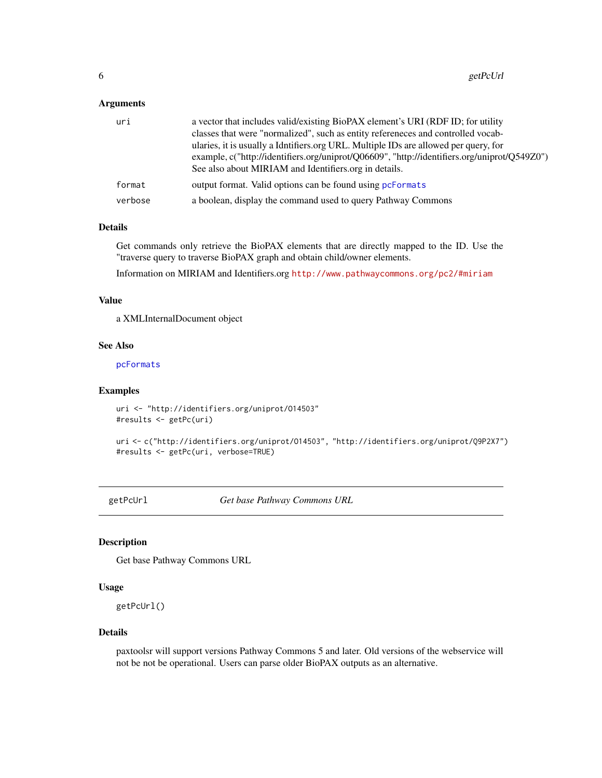#### <span id="page-5-0"></span>Arguments

| uri     | a vector that includes valid/existing BioPAX element's URI (RDF ID; for utility              |
|---------|----------------------------------------------------------------------------------------------|
|         | classes that were "normalized", such as entity references and controlled vocab-              |
|         | ularies, it is usually a Idntifiers.org URL. Multiple IDs are allowed per query, for         |
|         | example, c("http://identifiers.org/uniprot/Q06609", "http://identifiers.org/uniprot/Q549Z0") |
|         | See also about MIRIAM and Identifiers org in details.                                        |
| format  | output format. Valid options can be found using performats                                   |
| verbose | a boolean, display the command used to query Pathway Commons                                 |

## Details

Get commands only retrieve the BioPAX elements that are directly mapped to the ID. Use the "traverse query to traverse BioPAX graph and obtain child/owner elements.

Information on MIRIAM and Identifiers.org <http://www.pathwaycommons.org/pc2/#miriam>

## Value

a XMLInternalDocument object

## See Also

[pcFormats](#page-10-1)

#### Examples

```
uri <- "http://identifiers.org/uniprot/O14503"
#results <- getPc(uri)
```

```
uri <- c("http://identifiers.org/uniprot/O14503", "http://identifiers.org/uniprot/Q9P2X7")
#results <- getPc(uri, verbose=TRUE)
```
getPcUrl *Get base Pathway Commons URL*

#### Description

Get base Pathway Commons URL

#### Usage

getPcUrl()

#### Details

paxtoolsr will support versions Pathway Commons 5 and later. Old versions of the webservice will not be not be operational. Users can parse older BioPAX outputs as an alternative.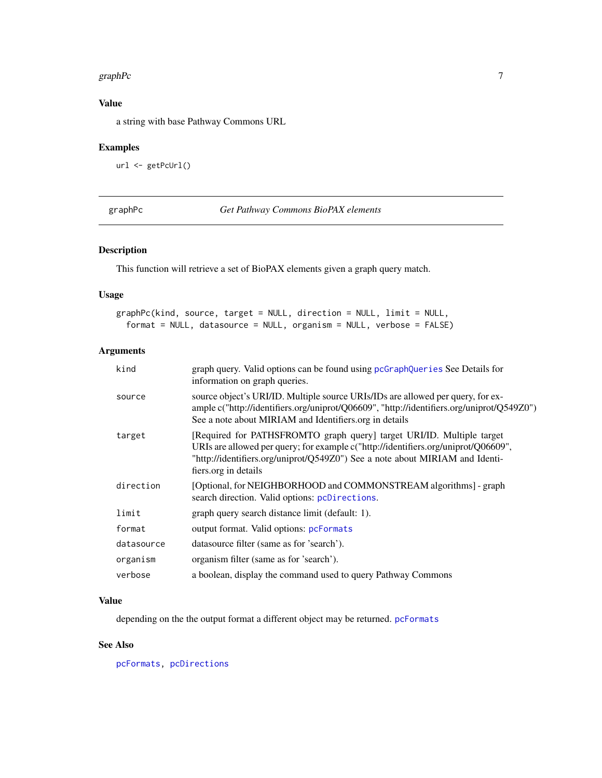#### <span id="page-6-0"></span>graphPc  $\overline{7}$

## Value

a string with base Pathway Commons URL

## Examples

```
url <- getPcUrl()
```
graphPc *Get Pathway Commons BioPAX elements*

## Description

This function will retrieve a set of BioPAX elements given a graph query match.

## Usage

```
graphPc(kind, source, target = NULL, direction = NULL, limit = NULL,
 format = NULL, datasource = NULL, organism = NULL, verbose = FALSE)
```
## Arguments

| kind       | graph query. Valid options can be found using pcGraphQueries See Details for<br>information on graph queries.                                                                                                                                                       |
|------------|---------------------------------------------------------------------------------------------------------------------------------------------------------------------------------------------------------------------------------------------------------------------|
| source     | source object's URI/ID. Multiple source URIs/IDs are allowed per query, for ex-<br>ample c("http://identifiers.org/uniprot/Q06609", "http://identifiers.org/uniprot/Q549Z0")<br>See a note about MIRIAM and Identifiers.org in details                              |
| target     | [Required for PATHSFROMTO graph query] target URI/ID. Multiple target<br>URIs are allowed per query; for example c("http://identifiers.org/uniprot/Q06609",<br>"http://identifiers.org/uniprot/Q549Z0") See a note about MIRIAM and Identi-<br>fiers.org in details |
| direction  | [Optional, for NEIGHBORHOOD and COMMONSTREAM algorithms] - graph<br>search direction. Valid options: pcDirections.                                                                                                                                                  |
| limit      | graph query search distance limit (default: 1).                                                                                                                                                                                                                     |
| format     | output format. Valid options: pcFormats                                                                                                                                                                                                                             |
| datasource | datasource filter (same as for 'search').                                                                                                                                                                                                                           |
| organism   | organism filter (same as for 'search').                                                                                                                                                                                                                             |
| verbose    | a boolean, display the command used to query Pathway Commons                                                                                                                                                                                                        |

## Value

depending on the the output format a different object may be returned. [pcFormats](#page-10-1)

## See Also

[pcFormats,](#page-10-1) [pcDirections](#page-9-1)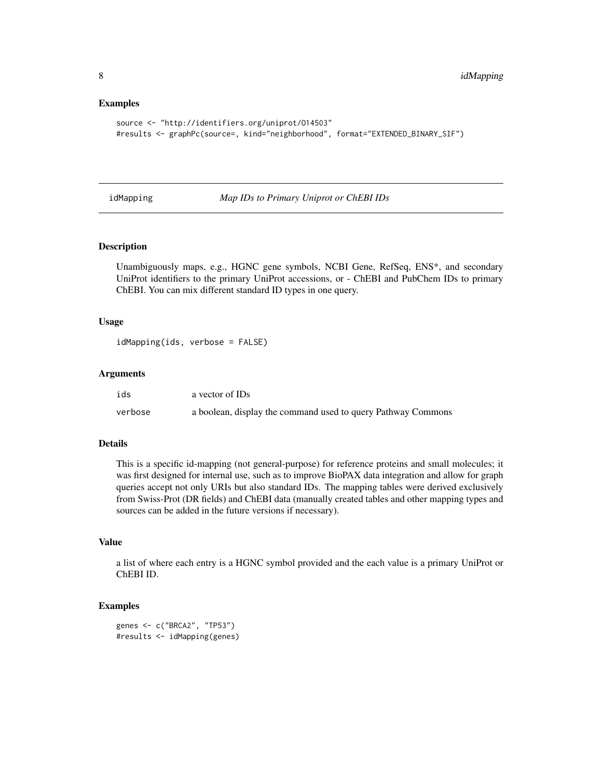#### Examples

```
source <- "http://identifiers.org/uniprot/O14503"
#results <- graphPc(source=, kind="neighborhood", format="EXTENDED_BINARY_SIF")
```
idMapping *Map IDs to Primary Uniprot or ChEBI IDs*

## Description

Unambiguously maps, e.g., HGNC gene symbols, NCBI Gene, RefSeq, ENS\*, and secondary UniProt identifiers to the primary UniProt accessions, or - ChEBI and PubChem IDs to primary ChEBI. You can mix different standard ID types in one query.

#### Usage

```
idMapping(ids, verbose = FALSE)
```
#### **Arguments**

| ids     | a vector of IDs                                              |
|---------|--------------------------------------------------------------|
| verbose | a boolean, display the command used to query Pathway Commons |

## Details

This is a specific id-mapping (not general-purpose) for reference proteins and small molecules; it was first designed for internal use, such as to improve BioPAX data integration and allow for graph queries accept not only URIs but also standard IDs. The mapping tables were derived exclusively from Swiss-Prot (DR fields) and ChEBI data (manually created tables and other mapping types and sources can be added in the future versions if necessary).

## Value

a list of where each entry is a HGNC symbol provided and the each value is a primary UniProt or ChEBI ID.

```
genes <- c("BRCA2", "TP53")
#results <- idMapping(genes)
```
<span id="page-7-0"></span>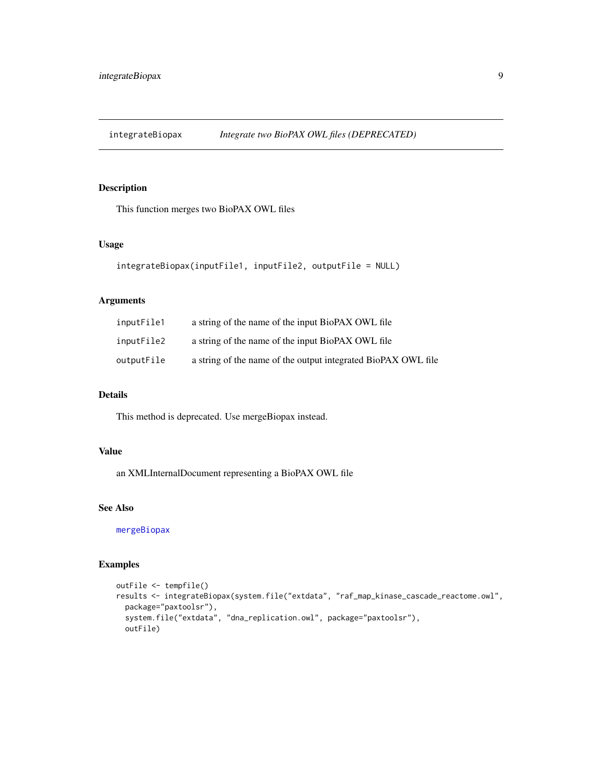<span id="page-8-0"></span>integrateBiopax *Integrate two BioPAX OWL files (DEPRECATED)*

## Description

This function merges two BioPAX OWL files

## Usage

```
integrateBiopax(inputFile1, inputFile2, outputFile = NULL)
```
## Arguments

| inputFile1 | a string of the name of the input BioPAX OWL file             |
|------------|---------------------------------------------------------------|
| inputFile2 | a string of the name of the input BioPAX OWL file             |
| outputFile | a string of the name of the output integrated BioPAX OWL file |

## Details

This method is deprecated. Use mergeBiopax instead.

## Value

an XMLInternalDocument representing a BioPAX OWL file

## See Also

[mergeBiopax](#page-9-2)

```
outFile <- tempfile()
results <- integrateBiopax(system.file("extdata", "raf_map_kinase_cascade_reactome.owl",
  package="paxtoolsr"),
  system.file("extdata", "dna_replication.owl", package="paxtoolsr"),
  outFile)
```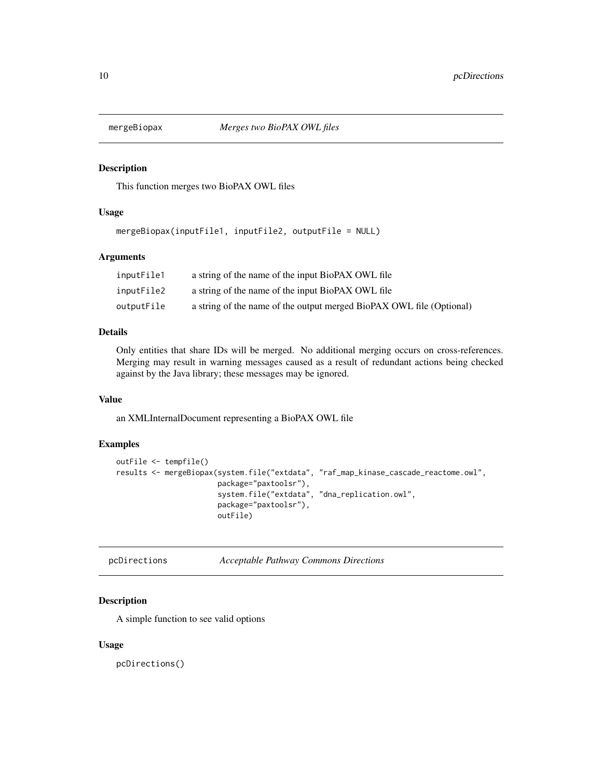<span id="page-9-2"></span><span id="page-9-0"></span>

This function merges two BioPAX OWL files

#### Usage

```
mergeBiopax(inputFile1, inputFile2, outputFile = NULL)
```
#### Arguments

| inputFile1 | a string of the name of the input BioPAX OWL file                    |
|------------|----------------------------------------------------------------------|
| inputFile2 | a string of the name of the input BioPAX OWL file                    |
| outputFile | a string of the name of the output merged BioPAX OWL file (Optional) |

#### Details

Only entities that share IDs will be merged. No additional merging occurs on cross-references. Merging may result in warning messages caused as a result of redundant actions being checked against by the Java library; these messages may be ignored.

## Value

an XMLInternalDocument representing a BioPAX OWL file

## Examples

```
outFile <- tempfile()
results <- mergeBiopax(system.file("extdata", "raf_map_kinase_cascade_reactome.owl",
                       package="paxtoolsr"),
                       system.file("extdata", "dna_replication.owl",
                       package="paxtoolsr"),
                       outFile)
```
<span id="page-9-1"></span>pcDirections *Acceptable Pathway Commons Directions*

#### Description

A simple function to see valid options

#### Usage

pcDirections()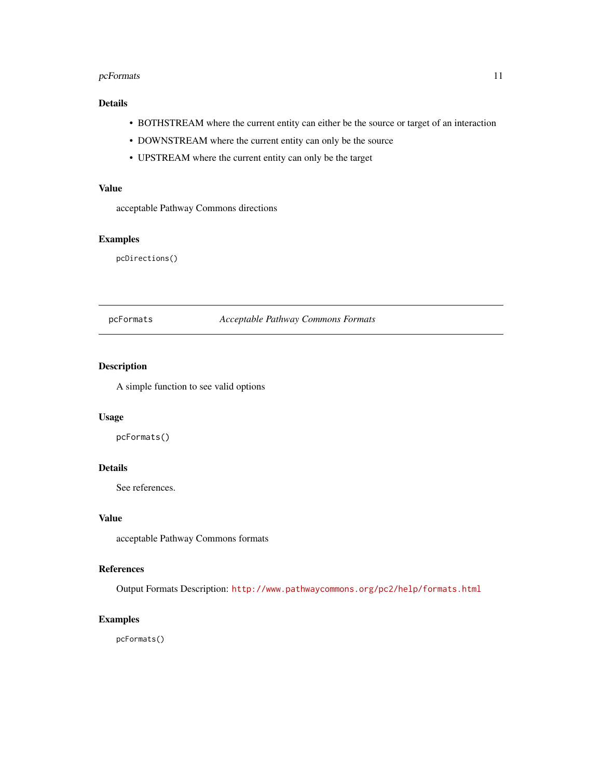## <span id="page-10-0"></span>pcFormats 11

## Details

- BOTHSTREAM where the current entity can either be the source or target of an interaction
- DOWNSTREAM where the current entity can only be the source
- UPSTREAM where the current entity can only be the target

## Value

acceptable Pathway Commons directions

### Examples

pcDirections()

## <span id="page-10-1"></span>pcFormats *Acceptable Pathway Commons Formats*

## Description

A simple function to see valid options

## Usage

pcFormats()

## Details

See references.

#### Value

acceptable Pathway Commons formats

## References

Output Formats Description: <http://www.pathwaycommons.org/pc2/help/formats.html>

## Examples

pcFormats()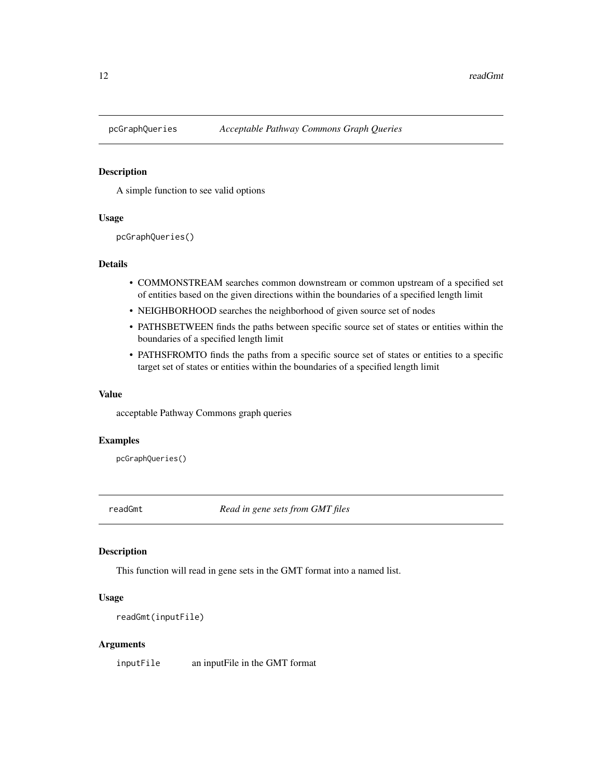<span id="page-11-1"></span><span id="page-11-0"></span>

A simple function to see valid options

#### Usage

pcGraphQueries()

## Details

- COMMONSTREAM searches common downstream or common upstream of a specified set of entities based on the given directions within the boundaries of a specified length limit
- NEIGHBORHOOD searches the neighborhood of given source set of nodes
- PATHSBETWEEN finds the paths between specific source set of states or entities within the boundaries of a specified length limit
- PATHSFROMTO finds the paths from a specific source set of states or entities to a specific target set of states or entities within the boundaries of a specified length limit

#### Value

acceptable Pathway Commons graph queries

#### Examples

pcGraphQueries()

readGmt *Read in gene sets from GMT files*

#### Description

This function will read in gene sets in the GMT format into a named list.

## Usage

```
readGmt(inputFile)
```
#### Arguments

inputFile an inputFile in the GMT format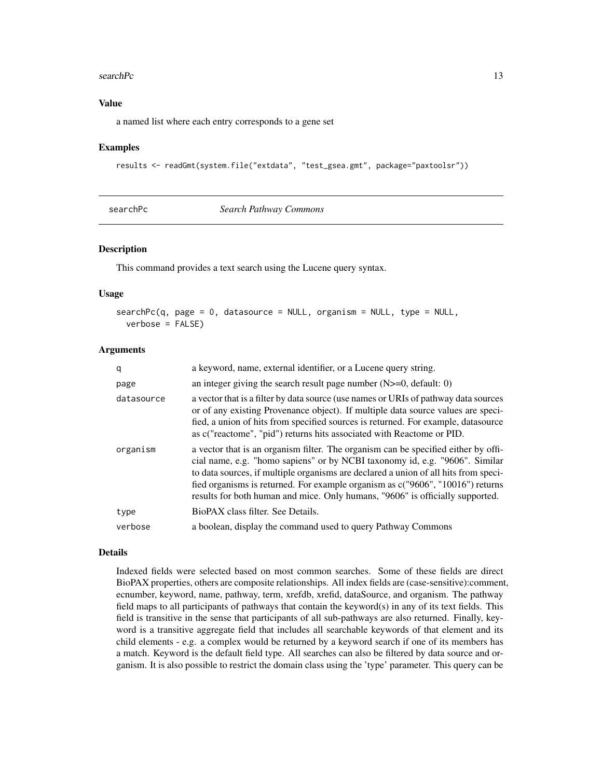#### <span id="page-12-0"></span>search $Pc$  13

## Value

a named list where each entry corresponds to a gene set

#### Examples

```
results <- readGmt(system.file("extdata", "test_gsea.gmt", package="paxtoolsr"))
```

| searchPc |  |
|----------|--|
|----------|--|

Search Pathway Commons

## Description

This command provides a text search using the Lucene query syntax.

#### Usage

```
searchPc(q, page = 0, data source = NULL, organism = NULL, type = NULL,verbose = FALSE)
```
#### Arguments

| q          | a keyword, name, external identifier, or a Lucene query string.                                                                                                                                                                                                                                                                                                                                                             |
|------------|-----------------------------------------------------------------------------------------------------------------------------------------------------------------------------------------------------------------------------------------------------------------------------------------------------------------------------------------------------------------------------------------------------------------------------|
| page       | an integer giving the search result page number $(N>=0,$ default: 0)                                                                                                                                                                                                                                                                                                                                                        |
| datasource | a vector that is a filter by data source (use names or URIs of pathway data sources<br>or of any existing Provenance object). If multiple data source values are speci-<br>fied, a union of hits from specified sources is returned. For example, datasource<br>as c("reactome", "pid") returns hits associated with Reactome or PID.                                                                                       |
| organism   | a vector that is an organism filter. The organism can be specified either by offi-<br>cial name, e.g. "homo sapiens" or by NCBI taxonomy id, e.g. "9606". Similar<br>to data sources, if multiple organisms are declared a union of all hits from speci-<br>fied organisms is returned. For example organism as c("9606", "10016") returns<br>results for both human and mice. Only humans, "9606" is officially supported. |
| type       | BioPAX class filter. See Details.                                                                                                                                                                                                                                                                                                                                                                                           |
| verbose    | a boolean, display the command used to query Pathway Commons                                                                                                                                                                                                                                                                                                                                                                |

#### Details

Indexed fields were selected based on most common searches. Some of these fields are direct BioPAX properties, others are composite relationships. All index fields are (case-sensitive):comment, ecnumber, keyword, name, pathway, term, xrefdb, xrefid, dataSource, and organism. The pathway field maps to all participants of pathways that contain the keyword(s) in any of its text fields. This field is transitive in the sense that participants of all sub-pathways are also returned. Finally, keyword is a transitive aggregate field that includes all searchable keywords of that element and its child elements - e.g. a complex would be returned by a keyword search if one of its members has a match. Keyword is the default field type. All searches can also be filtered by data source and organism. It is also possible to restrict the domain class using the 'type' parameter. This query can be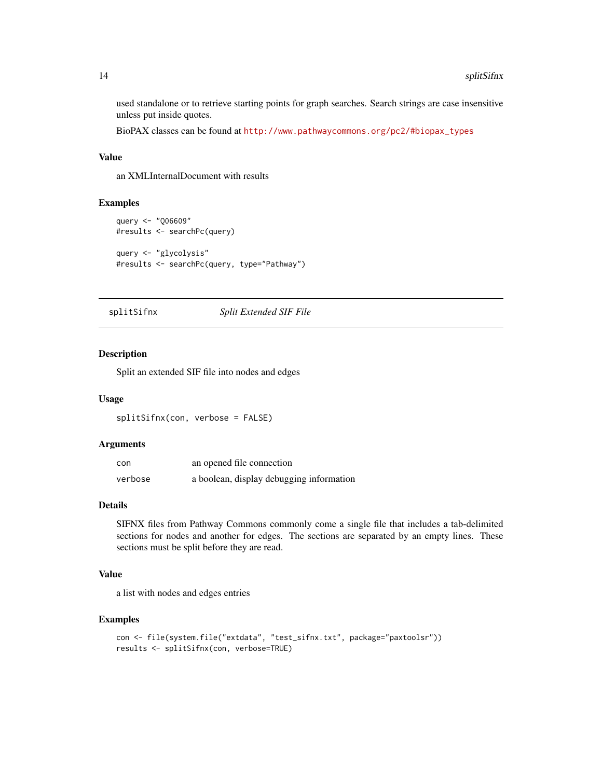used standalone or to retrieve starting points for graph searches. Search strings are case insensitive unless put inside quotes.

BioPAX classes can be found at [http://www.pathwaycommons.org/pc2/#biopax\\_types](http://www.pathwaycommons.org/pc2/#biopax_types)

## Value

an XMLInternalDocument with results

#### Examples

```
query <- "Q06609"
#results <- searchPc(query)
query <- "glycolysis"
#results <- searchPc(query, type="Pathway")
```
splitSifnx *Split Extended SIF File*

#### Description

Split an extended SIF file into nodes and edges

#### Usage

splitSifnx(con, verbose = FALSE)

## Arguments

| con     | an opened file connection                |
|---------|------------------------------------------|
| verbose | a boolean, display debugging information |

## Details

SIFNX files from Pathway Commons commonly come a single file that includes a tab-delimited sections for nodes and another for edges. The sections are separated by an empty lines. These sections must be split before they are read.

## Value

a list with nodes and edges entries

```
con <- file(system.file("extdata", "test_sifnx.txt", package="paxtoolsr"))
results <- splitSifnx(con, verbose=TRUE)
```
<span id="page-13-0"></span>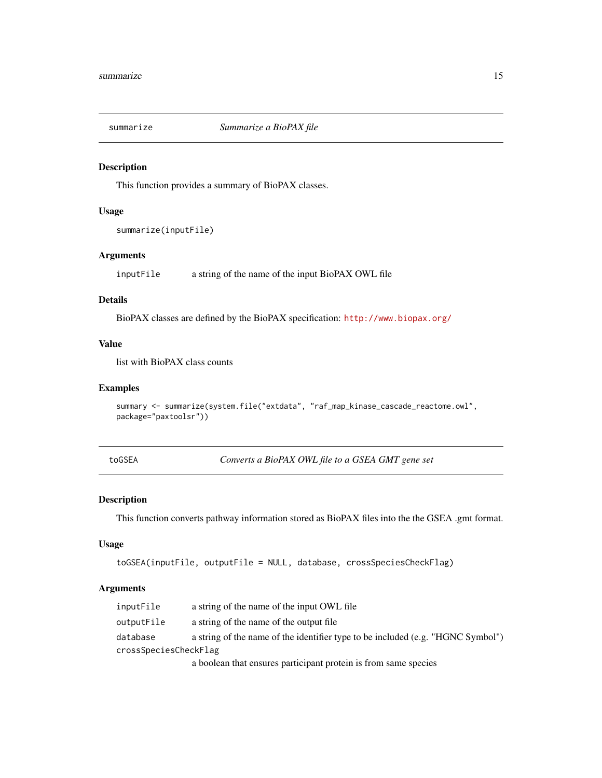<span id="page-14-0"></span>

This function provides a summary of BioPAX classes.

## Usage

summarize(inputFile)

## Arguments

inputFile a string of the name of the input BioPAX OWL file

## Details

BioPAX classes are defined by the BioPAX specification: <http://www.biopax.org/>

## Value

list with BioPAX class counts

## Examples

```
summary <- summarize(system.file("extdata", "raf_map_kinase_cascade_reactome.owl",
package="paxtoolsr"))
```
toGSEA *Converts a BioPAX OWL file to a GSEA GMT gene set*

## Description

This function converts pathway information stored as BioPAX files into the the GSEA .gmt format.

#### Usage

```
toGSEA(inputFile, outputFile = NULL, database, crossSpeciesCheckFlag)
```

| inputFile             | a string of the name of the input OWL file                                      |  |
|-----------------------|---------------------------------------------------------------------------------|--|
| outputFile            | a string of the name of the output file                                         |  |
| database              | a string of the name of the identifier type to be included (e.g. "HGNC Symbol") |  |
| crossSpeciesCheckFlag |                                                                                 |  |
|                       | a boolean that ensures participant protein is from same species                 |  |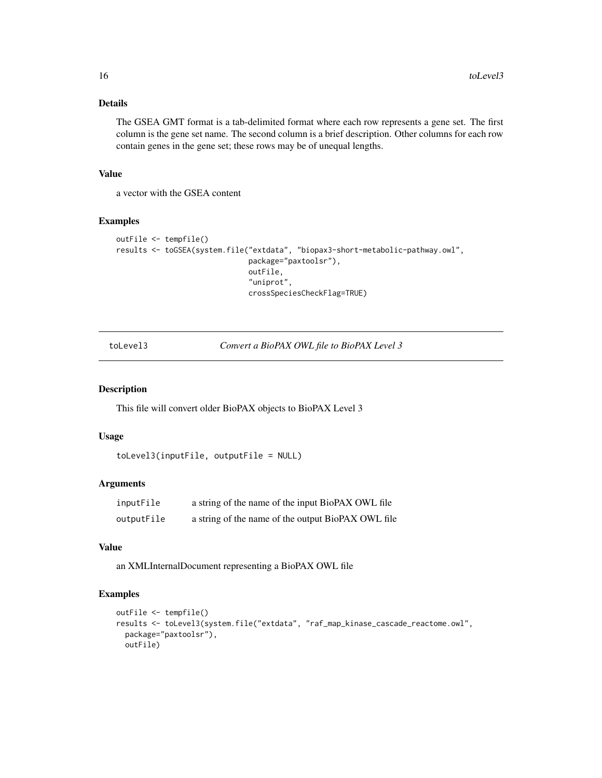## Details

The GSEA GMT format is a tab-delimited format where each row represents a gene set. The first column is the gene set name. The second column is a brief description. Other columns for each row contain genes in the gene set; these rows may be of unequal lengths.

## Value

a vector with the GSEA content

### Examples

```
outFile <- tempfile()
results <- toGSEA(system.file("extdata", "biopax3-short-metabolic-pathway.owl",
                              package="paxtoolsr"),
                              outFile,
                              "uniprot",
                              crossSpeciesCheckFlag=TRUE)
```
toLevel3 *Convert a BioPAX OWL file to BioPAX Level 3*

## Description

This file will convert older BioPAX objects to BioPAX Level 3

## Usage

```
toLevel3(inputFile, outputFile = NULL)
```
## Arguments

| inputFile  | a string of the name of the input BioPAX OWL file  |
|------------|----------------------------------------------------|
| outputFile | a string of the name of the output BioPAX OWL file |

## Value

an XMLInternalDocument representing a BioPAX OWL file

```
outFile <- tempfile()
results <- toLevel3(system.file("extdata", "raf_map_kinase_cascade_reactome.owl",
  package="paxtoolsr"),
  outFile)
```
<span id="page-15-0"></span>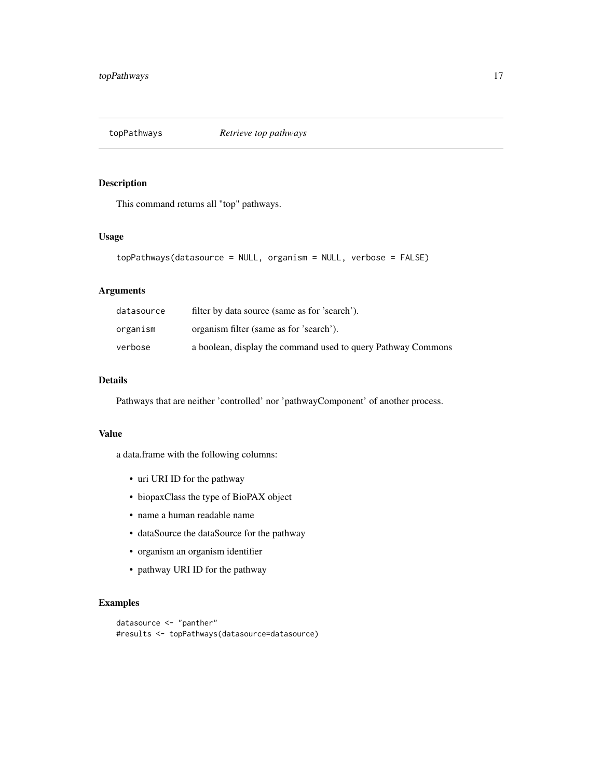<span id="page-16-0"></span>

This command returns all "top" pathways.

## Usage

```
topPathways(datasource = NULL, organism = NULL, verbose = FALSE)
```
## Arguments

| datasource | filter by data source (same as for 'search').                |
|------------|--------------------------------------------------------------|
| organism   | organism filter (same as for 'search').                      |
| verbose    | a boolean, display the command used to query Pathway Commons |

## Details

Pathways that are neither 'controlled' nor 'pathwayComponent' of another process.

#### Value

a data.frame with the following columns:

- uri URI ID for the pathway
- biopaxClass the type of BioPAX object
- name a human readable name
- dataSource the dataSource for the pathway
- organism an organism identifier
- pathway URI ID for the pathway

```
datasource <- "panther"
#results <- topPathways(datasource=datasource)
```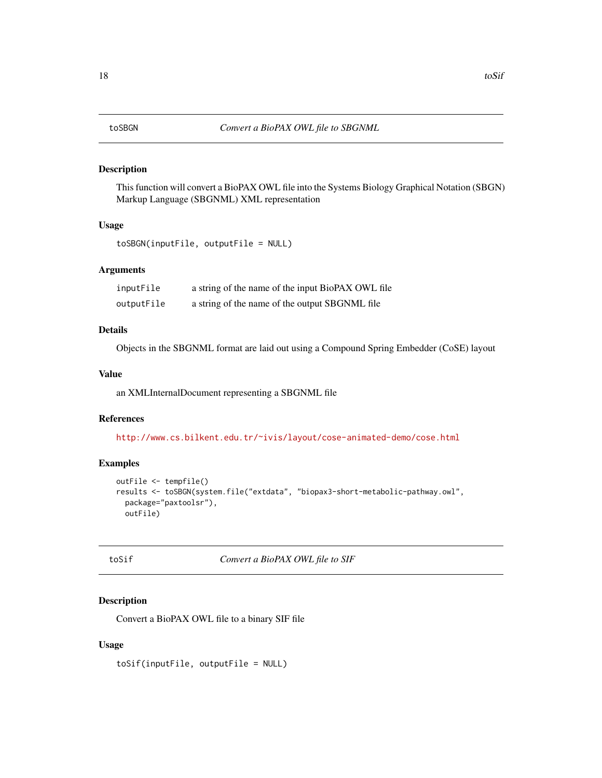<span id="page-17-0"></span>This function will convert a BioPAX OWL file into the Systems Biology Graphical Notation (SBGN) Markup Language (SBGNML) XML representation

#### Usage

```
toSBGN(inputFile, outputFile = NULL)
```
## Arguments

| inputFile  | a string of the name of the input BioPAX OWL file |
|------------|---------------------------------------------------|
| outputFile | a string of the name of the output SBGNML file    |

## Details

Objects in the SBGNML format are laid out using a Compound Spring Embedder (CoSE) layout

#### Value

an XMLInternalDocument representing a SBGNML file

## References

<http://www.cs.bilkent.edu.tr/~ivis/layout/cose-animated-demo/cose.html>

## Examples

```
outFile <- tempfile()
results <- toSBGN(system.file("extdata", "biopax3-short-metabolic-pathway.owl",
  package="paxtoolsr"),
  outFile)
```
toSif *Convert a BioPAX OWL file to SIF*

## Description

Convert a BioPAX OWL file to a binary SIF file

#### Usage

toSif(inputFile, outputFile = NULL)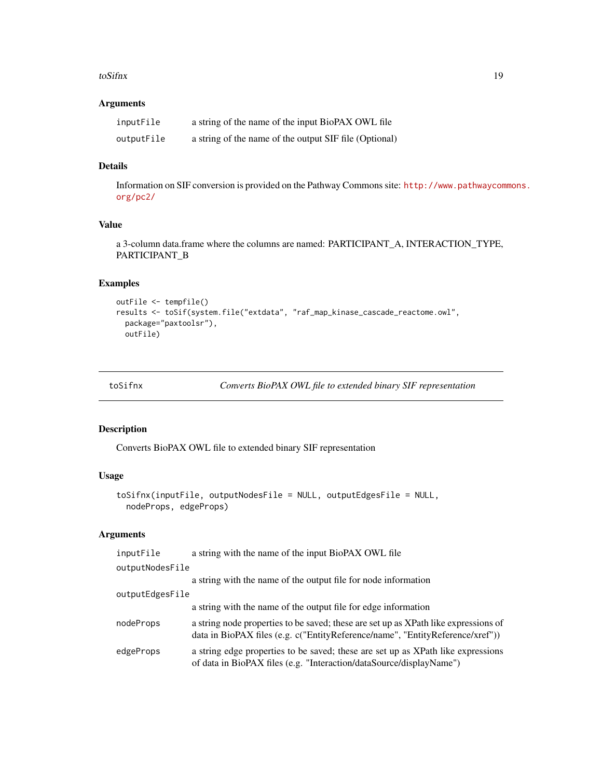#### <span id="page-18-0"></span>toSifnx 19

## Arguments

| inputFile  | a string of the name of the input BioPAX OWL file      |
|------------|--------------------------------------------------------|
| outputFile | a string of the name of the output SIF file (Optional) |

#### Details

Information on SIF conversion is provided on the Pathway Commons site: [http://www.pathwaycom](http://www.pathwaycommons.org/pc2/)mons. [org/pc2/](http://www.pathwaycommons.org/pc2/)

## Value

a 3-column data.frame where the columns are named: PARTICIPANT\_A, INTERACTION\_TYPE, PARTICIPANT\_B

## Examples

```
outFile <- tempfile()
results <- toSif(system.file("extdata", "raf_map_kinase_cascade_reactome.owl",
  package="paxtoolsr"),
  outFile)
```

```
toSifnx Converts BioPAX OWL file to extended binary SIF representation
```
## Description

Converts BioPAX OWL file to extended binary SIF representation

## Usage

```
toSifnx(inputFile, outputNodesFile = NULL, outputEdgesFile = NULL,
 nodeProps, edgeProps)
```

| inputFile       | a string with the name of the input BioPAX OWL file                                                                                                                  |
|-----------------|----------------------------------------------------------------------------------------------------------------------------------------------------------------------|
| outputNodesFile |                                                                                                                                                                      |
|                 | a string with the name of the output file for node information                                                                                                       |
| outputEdgesFile |                                                                                                                                                                      |
|                 | a string with the name of the output file for edge information                                                                                                       |
| nodeProps       | a string node properties to be saved; these are set up as XPath like expressions of<br>data in BioPAX files (e.g. c("EntityReference/name", "EntityReference/xref")) |
| edgeProps       | a string edge properties to be saved; these are set up as XPath like expressions<br>of data in BioPAX files (e.g. "Interaction/dataSource/displayName")              |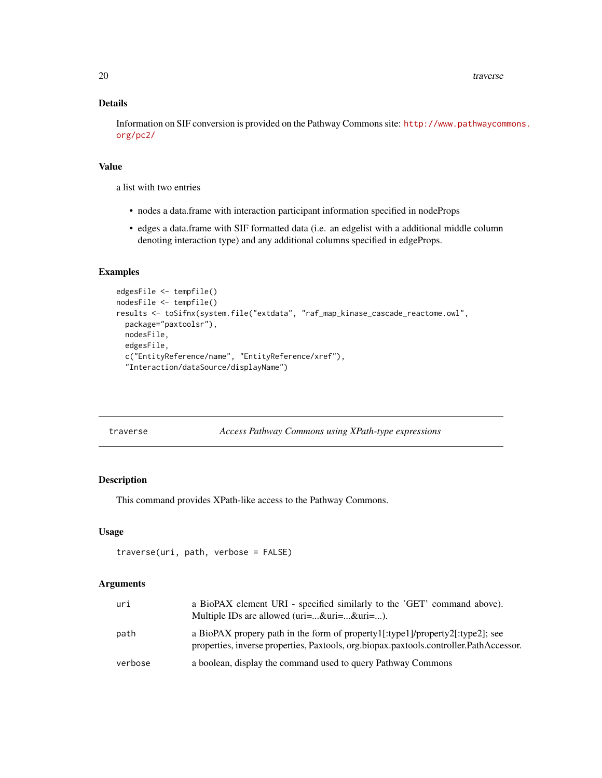<span id="page-19-0"></span>20 traverse traverse traverse traverse traverse traverse traverse traverse traverse traverse

## Details

Information on SIF conversion is provided on the Pathway Commons site: [http://www.pathwaycom](http://www.pathwaycommons.org/pc2/)mons. [org/pc2/](http://www.pathwaycommons.org/pc2/)

## Value

a list with two entries

- nodes a data.frame with interaction participant information specified in nodeProps
- edges a data.frame with SIF formatted data (i.e. an edgelist with a additional middle column denoting interaction type) and any additional columns specified in edgeProps.

#### Examples

```
edgesFile <- tempfile()
nodesFile <- tempfile()
results <- toSifnx(system.file("extdata", "raf_map_kinase_cascade_reactome.owl",
  package="paxtoolsr"),
 nodesFile,
  edgesFile,
  c("EntityReference/name", "EntityReference/xref"),
  "Interaction/dataSource/displayName")
```
traverse *Access Pathway Commons using XPath-type expressions* 

## Description

This command provides XPath-like access to the Pathway Commons.

#### Usage

```
traverse(uri, path, verbose = FALSE)
```

| uri     | a BioPAX element URI - specified similarly to the 'GET' command above).<br>Multiple IDs are allowed ( $uri=$ & $uri=$ & $uri=$ ).                                       |
|---------|-------------------------------------------------------------------------------------------------------------------------------------------------------------------------|
| path    | a BioPAX propery path in the form of property1[:type1]/property2[:type2]; see<br>properties, inverse properties, Paxtools, org.biopax.paxtools.controller.PathAccessor. |
| verbose | a boolean, display the command used to query Pathway Commons                                                                                                            |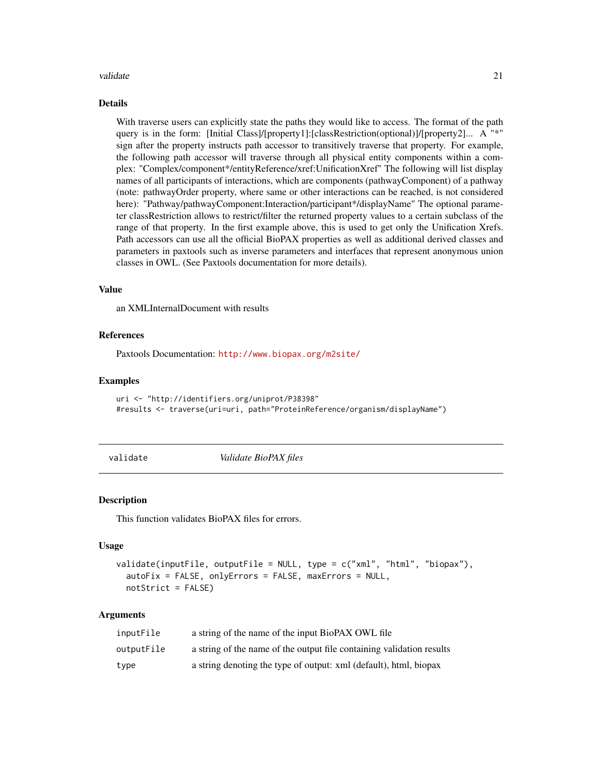#### <span id="page-20-0"></span>validate 21 and 22 and 22 and 22 and 22 and 22 and 22 and 23 and 23 and 23 and 24 and 25 and 26 and 27 and 27 and 27 and 27 and 27 and 27 and 27 and 27 and 27 and 27 and 27 and 27 and 27 and 27 and 27 and 27 and 27 and 27

## Details

With traverse users can explicitly state the paths they would like to access. The format of the path query is in the form: [Initial Class]/[property1]:[classRestriction(optional)]/[property2]... A "\*" sign after the property instructs path accessor to transitively traverse that property. For example, the following path accessor will traverse through all physical entity components within a complex: "Complex/component\*/entityReference/xref:UnificationXref" The following will list display names of all participants of interactions, which are components (pathwayComponent) of a pathway (note: pathwayOrder property, where same or other interactions can be reached, is not considered here): "Pathway/pathwayComponent:Interaction/participant\*/displayName" The optional parameter classRestriction allows to restrict/filter the returned property values to a certain subclass of the range of that property. In the first example above, this is used to get only the Unification Xrefs. Path accessors can use all the official BioPAX properties as well as additional derived classes and parameters in paxtools such as inverse parameters and interfaces that represent anonymous union classes in OWL. (See Paxtools documentation for more details).

#### Value

an XMLInternalDocument with results

## References

Paxtools Documentation: <http://www.biopax.org/m2site/>

#### Examples

```
uri <- "http://identifiers.org/uniprot/P38398"
#results <- traverse(uri=uri, path="ProteinReference/organism/displayName")
```
validate *Validate BioPAX files*

#### **Description**

This function validates BioPAX files for errors.

#### Usage

```
validate(inputFile, outputFile = NULL, type = c("xml", "html", "biopax"),
  autoFix = FALSE, onlyErrors = FALSE, maxErrors = NULL,
  notStrict = FALSE)
```

| inputFile  | a string of the name of the input BioPAX OWL file                     |
|------------|-----------------------------------------------------------------------|
| outputFile | a string of the name of the output file containing validation results |
| type       | a string denoting the type of output: xml (default), html, biopax     |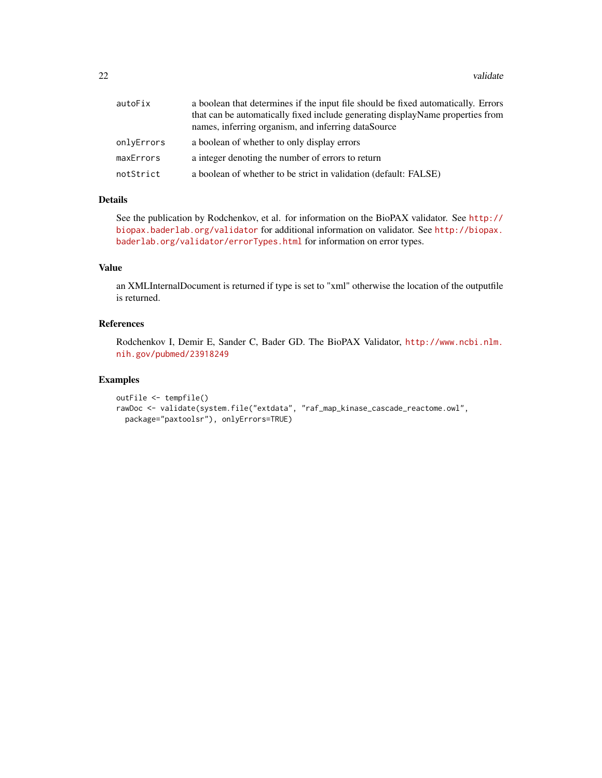| autoFix    | a boolean that determines if the input file should be fixed automatically. Errors |
|------------|-----------------------------------------------------------------------------------|
|            | that can be automatically fixed include generating displayName properties from    |
|            | names, inferring organism, and inferring dataSource                               |
| onlyErrors | a boolean of whether to only display errors                                       |
| maxErrors  | a integer denoting the number of errors to return                                 |
| notStrict  | a boolean of whether to be strict in validation (default: FALSE)                  |

## Details

See the publication by Rodchenkov, et al. for information on the BioPAX validator. See [http://](http://biopax.baderlab.org/validator) [biopax.baderlab.org/validator](http://biopax.baderlab.org/validator) for additional information on validator. See [http://biopax.](http://biopax.baderlab.org/validator/errorTypes.html) [baderlab.org/validator/errorTypes.html](http://biopax.baderlab.org/validator/errorTypes.html) for information on error types.

## Value

an XMLInternalDocument is returned if type is set to "xml" otherwise the location of the outputfile is returned.

## References

Rodchenkov I, Demir E, Sander C, Bader GD. The BioPAX Validator, [http://www.ncbi.nlm.](http://www.ncbi.nlm.nih.gov/pubmed/23918249) [nih.gov/pubmed/23918249](http://www.ncbi.nlm.nih.gov/pubmed/23918249)

```
outFile <- tempfile()
rawDoc <- validate(system.file("extdata", "raf_map_kinase_cascade_reactome.owl",
  package="paxtoolsr"), onlyErrors=TRUE)
```